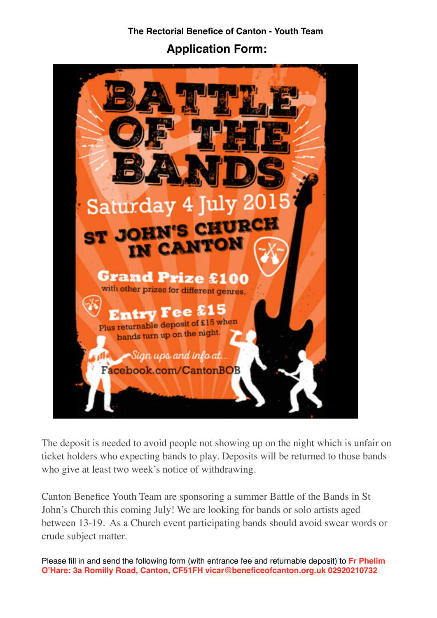**The Rectorial Benefice of Canton - Youth Team**

**Application Form:** 



The deposit is needed to avoid people not showing up on the night which is unfair on ticket holders who expecting bands to play. Deposits will be returned to those bands who give at least two week's notice of withdrawing.

Canton Benefice Youth Team are sponsoring a summer Battle of the Bands in St John's Church this coming July! We are looking for bands or solo artists aged between 13-19. As a Church event participating bands should avoid swear words or crude subject matter.

Please fill in and send the following form (with entrance fee and returnable deposit) to **Fr Phelim O'Hare: 3a Romilly Road, Canton, CF51FH [vicar@beneficeofcanton.org.uk](mailto:vicar@beneficeofcanton.org.uk) 02920210732**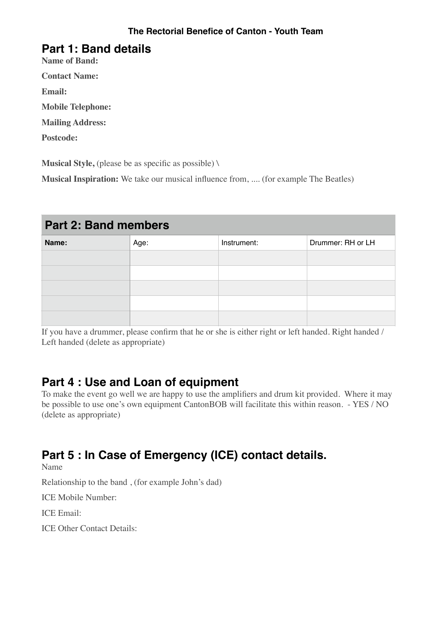### **Part 1: Band details**

**Name of Band:** 

**Contact Name:** 

**Email:** 

**Mobile Telephone:**

**Mailing Address:**

**Postcode:**

**Musical Style,** (please be as specific as possible) \

**Musical Inspiration:** We take our musical influence from, .... (for example The Beatles)

## **Part 2: Band members**

| Name: | Age: | Instrument: | Drummer: RH or LH |
|-------|------|-------------|-------------------|
|       |      |             |                   |
|       |      |             |                   |
|       |      |             |                   |
|       |      |             |                   |
|       |      |             |                   |

If you have a drummer, please confirm that he or she is either right or left handed. Right handed / Left handed (delete as appropriate)

## **Part 4 : Use and Loan of equipment**

To make the event go well we are happy to use the amplifiers and drum kit provided. Where it may be possible to use one's own equipment CantonBOB will facilitate this within reason. - YES / NO (delete as appropriate)

# **Part 5 : In Case of Emergency (ICE) contact details.**

Name

Relationship to the band , (for example John's dad)

ICE Mobile Number:

ICE Email:

ICE Other Contact Details: